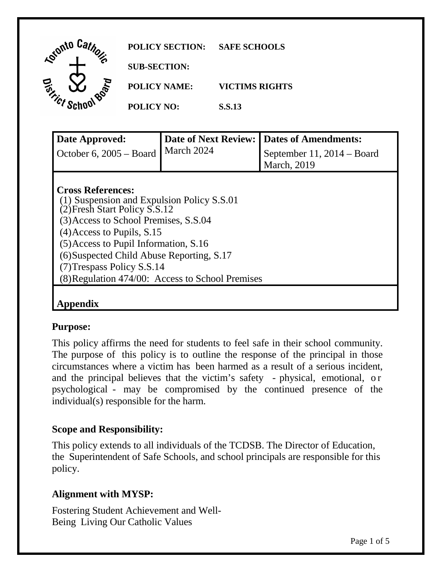| Lotonto Car<br><b>D<sub>Jep</sub></b> | <b>POLICY SECTION:</b> | <b>SAFE SCHOOLS</b>                       |
|---------------------------------------|------------------------|-------------------------------------------|
|                                       | <b>SUB-SECTION:</b>    |                                           |
|                                       | <b>POLICY NAME:</b>    | <b>VICTIMS RIGHTS</b>                     |
| <b>Tony Schoe</b>                     | <b>POLICY NO:</b>      | <b>S.S.13</b>                             |
| Dota Annuariod.                       |                        | Dota of Novt Doviewed Dotas of Amondments |

| Date Approved:                                   | <b>Date of Next Review:</b> | Dates of Amendments:         |  |  |
|--------------------------------------------------|-----------------------------|------------------------------|--|--|
| October 6, $2005 - Board$                        | March 2024                  | September 11, $2014 - Board$ |  |  |
|                                                  |                             | <b>March</b> , 2019          |  |  |
|                                                  |                             |                              |  |  |
| <b>Cross References:</b>                         |                             |                              |  |  |
| (1) Suspension and Expulsion Policy S.S.01       |                             |                              |  |  |
| (2) Fresh Start Policy S.S.12                    |                             |                              |  |  |
| (3) Access to School Premises, S.S.04            |                             |                              |  |  |
| $(4)$ Access to Pupils, S.15                     |                             |                              |  |  |
| $(5)$ Access to Pupil Information, S.16          |                             |                              |  |  |
| (6) Suspected Child Abuse Reporting, S.17        |                             |                              |  |  |
| (7) Trespass Policy S.S.14                       |                             |                              |  |  |
| (8) Regulation 474/00: Access to School Premises |                             |                              |  |  |
|                                                  |                             |                              |  |  |
|                                                  |                             |                              |  |  |

### **Purpose:**

 This policy affirms the need for students to feel safe in their school community. The purpose of this policy is to outline the response of the principal in those circumstances where a victim has been harmed as a result of a serious incident, and the principal believes that the victim's safety - physical, emotional, or psychological - may be compromised by the continued presence of the individual(s) responsible for the harm.

### **Scope and Responsibility:**

 This policy extends to all individuals of the TCDSB. The Director of Education, the Superintendent of Safe Schools, and school principals are responsible for this policy.

### **Alignment with MYSP:**

 Fostering Student Achievement and Well-Being Living Our Catholic Values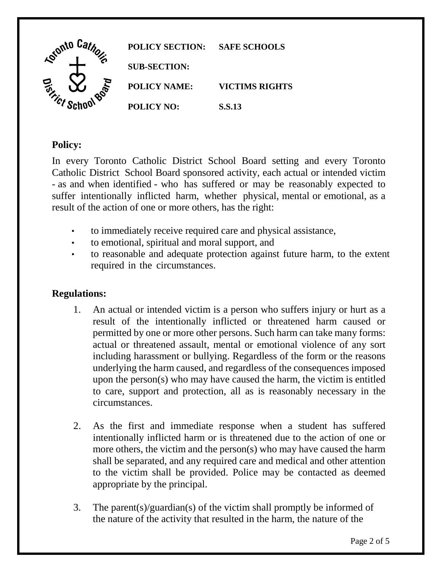

# **Policy:**

 In every Toronto Catholic District School Board setting and every Toronto Catholic District School Board sponsored activity, each actual or intended victim - as and when identified - who has suffered or may be reasonably expected to suffer intentionally inflicted harm, whether physical, mental or emotional, as a result of the action of one or more others, has the right:

- to immediately receive required care and physical assistance,
- to emotional, spiritual and moral support, and
- • to reasonable and adequate protection against future harm, to the extent required in the circumstances.

## **Regulations:**

- 1. An actual or intended victim is a person who suffers injury or hurt as a result of the intentionally inflicted or threatened harm caused or permitted by one or more other persons. Such harm can take many forms: including harassment or bullying. Regardless of the form or the reasons underlying the harm caused, and regardless of the consequences imposed upon the person(s) who may have caused the harm, the victim is entitled to care, support and protection, all as is reasonably necessary in the actual or threatened assault, mental or emotional violence of any sort circumstances.
- 2. As the first and immediate response when a student has suffered intentionally inflicted harm or is threatened due to the action of one or shall be separated, and any required care and medical and other attention to the victim shall be provided. Police may be contacted as deemed appropriate by the principal. more others, the victim and the person(s) who may have caused the harm
- 3. The parent(s)/guardian(s) of the victim shall promptly be informed of the nature of the activity that resulted in the harm, the nature of the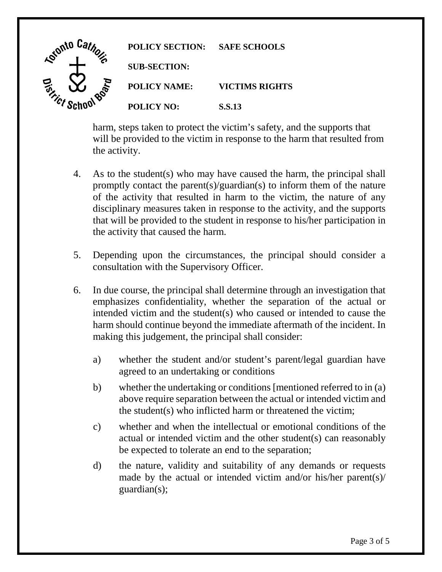

 harm, steps taken to protect the victim's safety, and the supports that will be provided to the victim in response to the harm that resulted from the activity.

- 4. As to the student(s) who may have caused the harm, the principal shall promptly contact the parent(s)/guardian(s) to inform them of the nature of the activity that resulted in harm to the victim, the nature of any disciplinary measures taken in response to the activity, and the supports that will be provided to the student in response to his/her participation in the activity that caused the harm.
- 5. Depending upon the circumstances, the principal should consider a consultation with the Supervisory Officer.
- 6. In due course, the principal shall determine through an investigation that emphasizes confidentiality, whether the separation of the actual or intended victim and the student(s) who caused or intended to cause the harm should continue beyond the immediate aftermath of the incident. In making this judgement, the principal shall consider:
	- a) whether the student and/or student's parent/legal guardian have agreed to an undertaking or conditions
	- above require separation between the actual or intended victim and b) whether the undertaking or conditions [mentioned referred to in (a) the student(s) who inflicted harm or threatened the victim;
	- c) whether and when the intellectual or emotional conditions of the actual or intended victim and the other student(s) can reasonably be expected to tolerate an end to the separation;
	- d) the nature, validity and suitability of any demands or requests made by the actual or intended victim and/or his/her parent(s)/ guardian(s);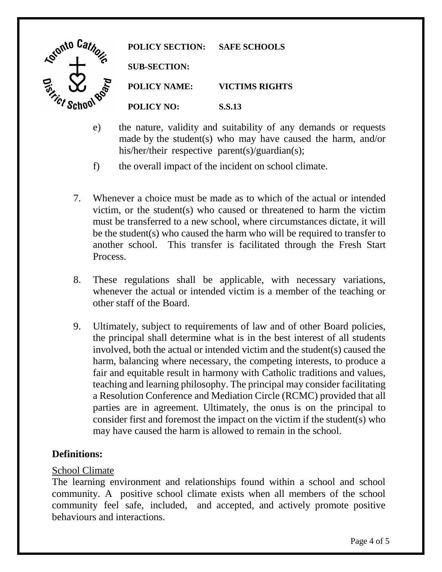

**POLICY SECTION: SAFE SCHOOLS SUB-SECTION: POLICY NAME: VICTIMS RIGHTS POLICY NO: S.S.13** 

- e) the nature, validity and suitability of any demands or requests made by the student(s) who may have caused the harm, and/or his/her/their respective parent(s)/guardian(s);
- f) the overall impact of the incident on school climate.
- 7. Whenever a choice must be made as to which of the actual or intended victim, or the student(s) who caused or threatened to harm the victim must be transferred to a new school, where circumstances dictate, it will be the student(s) who caused the harm who will be required to transfer to another school. This transfer is facilitated through the Fresh Start Process.
- 8. These regulations shall be applicable, with necessary variations, whenever the actual or intended victim is a member of the teaching or other staff of the Board.
- 9. Ultimately, subject to requirements of law and of other Board policies, the principal shall determine what is in the best interest of all students involved, both the actual or intended victim and the student(s) caused the harm, balancing where necessary, the competing interests, to produce a fair and equitable result in harmony with Catholic traditions and values, teaching and learning philosophy. The principal may consider facilitating parties are in agreement. Ultimately, the onus is on the principal to consider first and foremost the impact on the victim if the student(s) who may have caused the harm is allowed to remain in the school. a Resolution Conference and Mediation Circle (RCMC) provided that all

## **Definitions:**

### School Climate

 The learning environment and relationships found within a school and school community. A positive school climate exists when all members of the school community feel safe, included, and accepted, and actively promote positive behaviours and interactions.